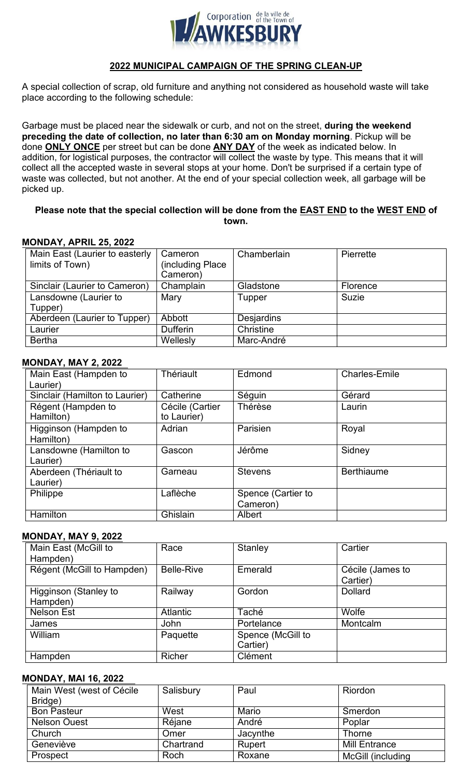

# **2022 MUNICIPAL CAMPAIGN OF THE SPRING CLEAN-UP**

A special collection of scrap, old furniture and anything not considered as household waste will take place according to the following schedule:

Garbage must be placed near the sidewalk or curb, and not on the street, **during the weekend preceding the date of collection, no later than 6:30 am on Monday morning**. Pickup will be done **ONLY ONCE** per street but can be done **ANY DAY** of the week as indicated below. In addition, for logistical purposes, the contractor will collect the waste by type. This means that it will collect all the accepted waste in several stops at your home. Don't be surprised if a certain type of waste was collected, but not another. At the end of your special collection week, all garbage will be picked up.

#### **Please note that the special collection will be done from the EAST END to the WEST END of town.**

## **MONDAY, APRIL 25, 2022**

| Main East (Laurier to easterly<br>limits of Town) | Cameron<br>(including Place<br>Cameron) | Chamberlain       | Pierrette    |
|---------------------------------------------------|-----------------------------------------|-------------------|--------------|
| Sinclair (Laurier to Cameron)                     | Champlain                               | Gladstone         | Florence     |
| Lansdowne (Laurier to<br>Tupper)                  | Mary                                    | <b>Tupper</b>     | <b>Suzie</b> |
| Aberdeen (Laurier to Tupper)                      | Abbott                                  | <b>Desjardins</b> |              |
| Laurier                                           | <b>Dufferin</b>                         | Christine         |              |
| <b>Bertha</b>                                     | Wellesly                                | Marc-André        |              |

## **MONDAY, MAY 2, 2022**

| ┅❤┅❤↗ ◟; ; ;;;/ ◟;   ▃;  ∠▽∠と  |                 |                    |                      |
|--------------------------------|-----------------|--------------------|----------------------|
| Main East (Hampden to          | Thériault       | Edmond             | <b>Charles-Emile</b> |
| Laurier)                       |                 |                    |                      |
| Sinclair (Hamilton to Laurier) | Catherine       | Séguin             | Gérard               |
| Régent (Hampden to             | Cécile (Cartier | Thérèse            | Laurin               |
| Hamilton)                      | to Laurier)     |                    |                      |
| Higginson (Hampden to          | Adrian          | Parisien           | Royal                |
| Hamilton)                      |                 |                    |                      |
| Lansdowne (Hamilton to         | Gascon          | Jérôme             | Sidney               |
| Laurier)                       |                 |                    |                      |
| Aberdeen (Thériault to         | Garneau         | <b>Stevens</b>     | <b>Berthiaume</b>    |
| Laurier)                       |                 |                    |                      |
| Philippe                       | Laflèche        | Spence (Cartier to |                      |
|                                |                 | Cameron)           |                      |
| Hamilton                       | Ghislain        | Albert             |                      |

#### **MONDAY, MAY 9, 2022**

| Main East (McGill to       | Race              | Stanley           | Cartier          |
|----------------------------|-------------------|-------------------|------------------|
| Hampden)                   |                   |                   |                  |
| Régent (McGill to Hampden) | <b>Belle-Rive</b> | Emerald           | Cécile (James to |
|                            |                   |                   | Cartier)         |
| Higginson (Stanley to      | Railway           | Gordon            | <b>Dollard</b>   |
| Hampden)                   |                   |                   |                  |
| <b>Nelson Est</b>          | <b>Atlantic</b>   | Taché             | Wolfe            |
| James                      | <b>John</b>       | Portelance        | Montcalm         |
| William                    | Paquette          | Spence (McGill to |                  |
|                            |                   | Cartier)          |                  |
| Hampden                    | <b>Richer</b>     | Clément           |                  |

#### **MONDAY, MAI 16, 2022**

| Main West (west of Cécile | Salisbury | Paul          | <b>Riordon</b>       |
|---------------------------|-----------|---------------|----------------------|
| Bridge)                   |           |               |                      |
| <b>Bon Pasteur</b>        | West      | Mario         | Smerdon              |
| Nelson Ouest              | Réjane    | André         | Poplar               |
| Church                    | Omer      | Jacynthe      | Thorne               |
| Geneviève                 | Chartrand | <b>Rupert</b> | <b>Mill Entrance</b> |
| Prospect                  | Roch      | Roxane        | McGill (including    |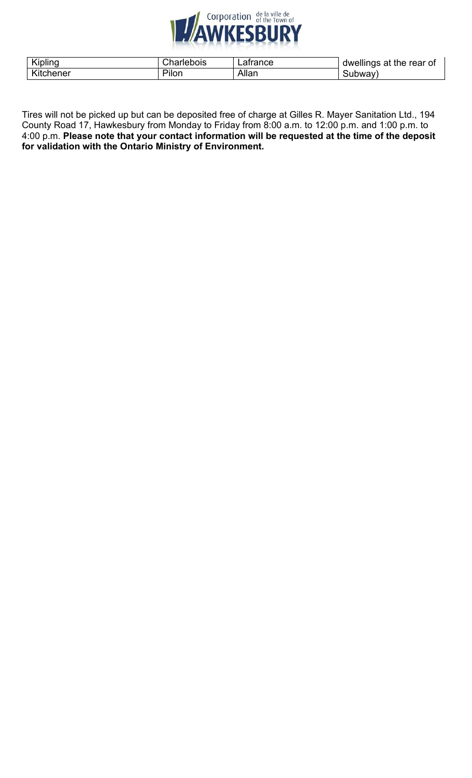

| Kin           | ` la a ul s | _atrance |                          |
|---------------|-------------|----------|--------------------------|
| Kipling       | rlebois     |          | dwellings at the rear of |
| Kitc<br>∧ener | πυπ         | Allan    | INWAV.                   |

Tires will not be picked up but can be deposited free of charge at Gilles R. Mayer Sanitation Ltd., 194 County Road 17, Hawkesbury from Monday to Friday from 8:00 a.m. to 12:00 p.m. and 1:00 p.m. to 4:00 p.m. **Please note that your contact information will be requested at the time of the deposit for validation with the Ontario Ministry of Environment.**